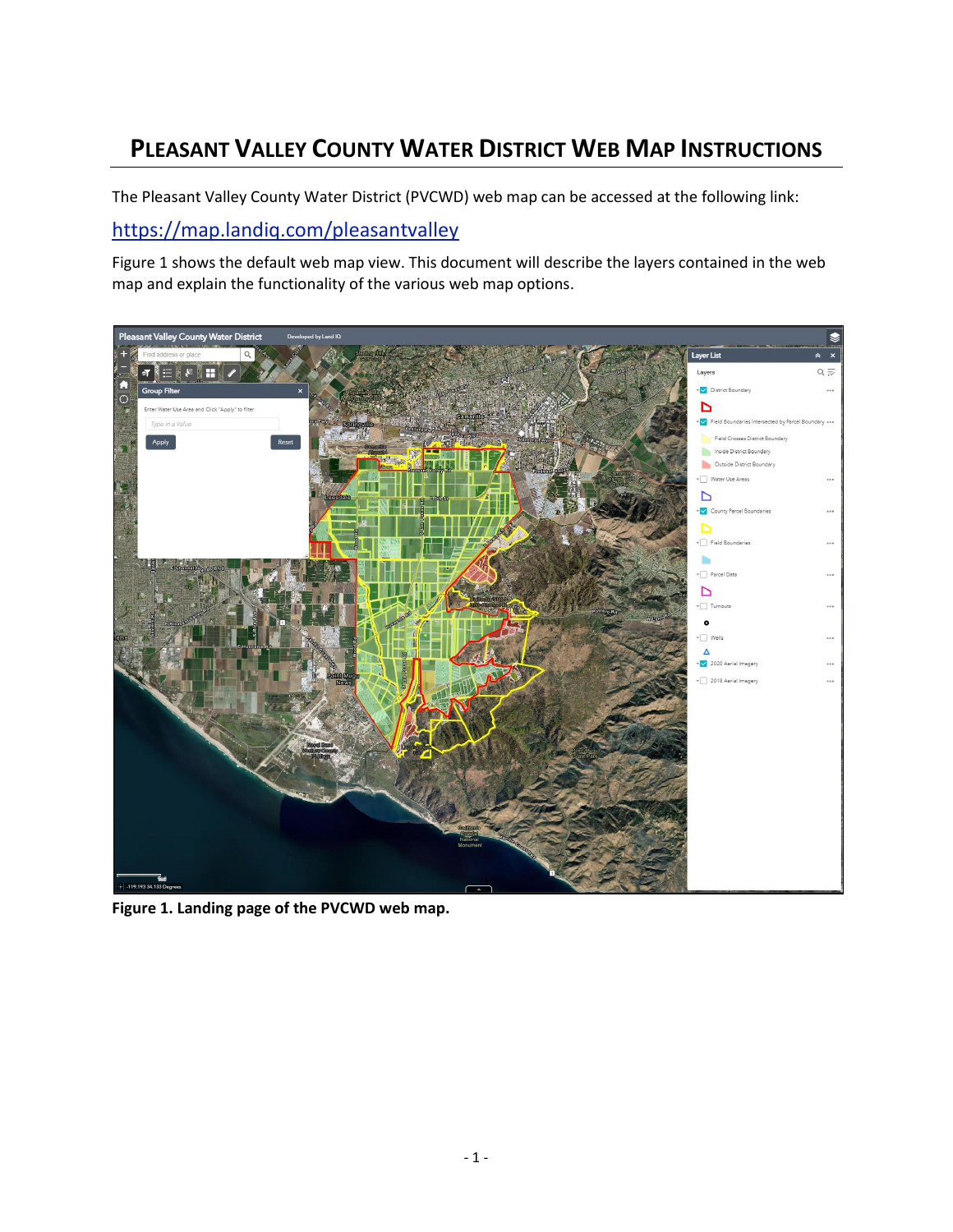# **PLEASANT VALLEY COUNTY WATER DISTRICT WEB MAP INSTRUCTIONS**

The Pleasant Valley County Water District (PVCWD) web map can be accessed at the following link:

#### <https://map.landiq.com/pleasantvalley>

Figure 1 shows the default web map view. This document will describe the layers contained in the web map and explain the functionality of the various web map options.



**Figure 1. Landing page of the PVCWD web map.**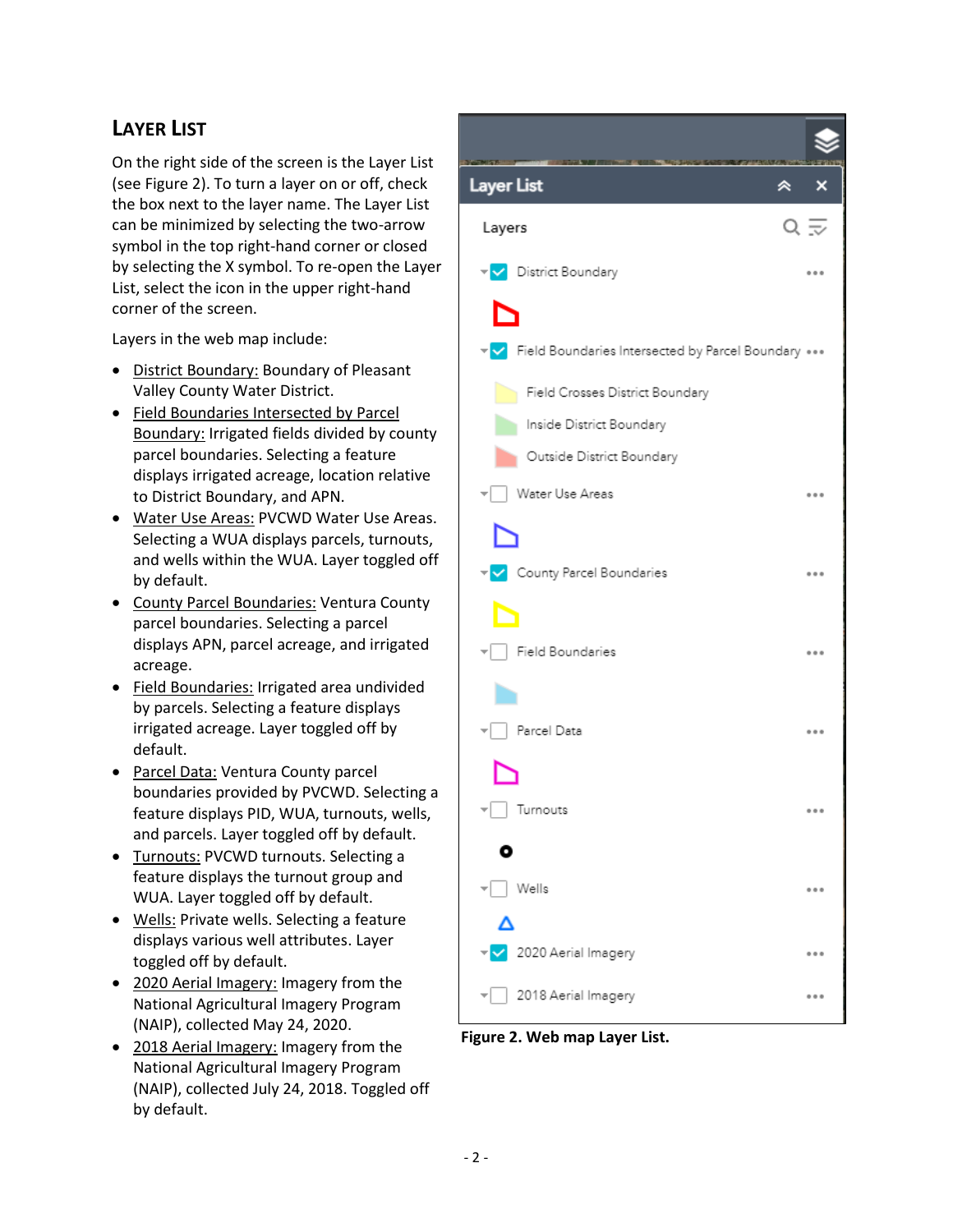## **LAYER LIST**

On the right side of the screen is the Layer List (see Figure 2). To turn a layer on or off, check the box next to the layer name. The Layer List can be minimized by selecting the two-arrow symbol in the top right-hand corner or closed by selecting the X symbol. To re-open the Layer List, select the icon in the upper right-hand corner of the screen.

Layers in the web map include:

- District Boundary: Boundary of Pleasant Valley County Water District.
- Field Boundaries Intersected by Parcel Boundary: Irrigated fields divided by county parcel boundaries. Selecting a feature displays irrigated acreage, location relative to District Boundary, and APN.
- Water Use Areas: PVCWD Water Use Areas. Selecting a WUA displays parcels, turnouts, and wells within the WUA. Layer toggled off by default.
- County Parcel Boundaries: Ventura County parcel boundaries. Selecting a parcel displays APN, parcel acreage, and irrigated acreage.
- Field Boundaries: Irrigated area undivided by parcels. Selecting a feature displays irrigated acreage. Layer toggled off by default.
- Parcel Data: Ventura County parcel boundaries provided by PVCWD. Selecting a feature displays PID, WUA, turnouts, wells, and parcels. Layer toggled off by default.
- Turnouts: PVCWD turnouts. Selecting a feature displays the turnout group and WUA. Layer toggled off by default.
- Wells: Private wells. Selecting a feature displays various well attributes. Layer toggled off by default.
- 2020 Aerial Imagery: Imagery from the National Agricultural Imagery Program (NAIP), collected May 24, 2020.
- 2018 Aerial Imagery: Imagery from the National Agricultural Imagery Program (NAIP), collected July 24, 2018. Toggled off by default.



**Figure 2. Web map Layer List.**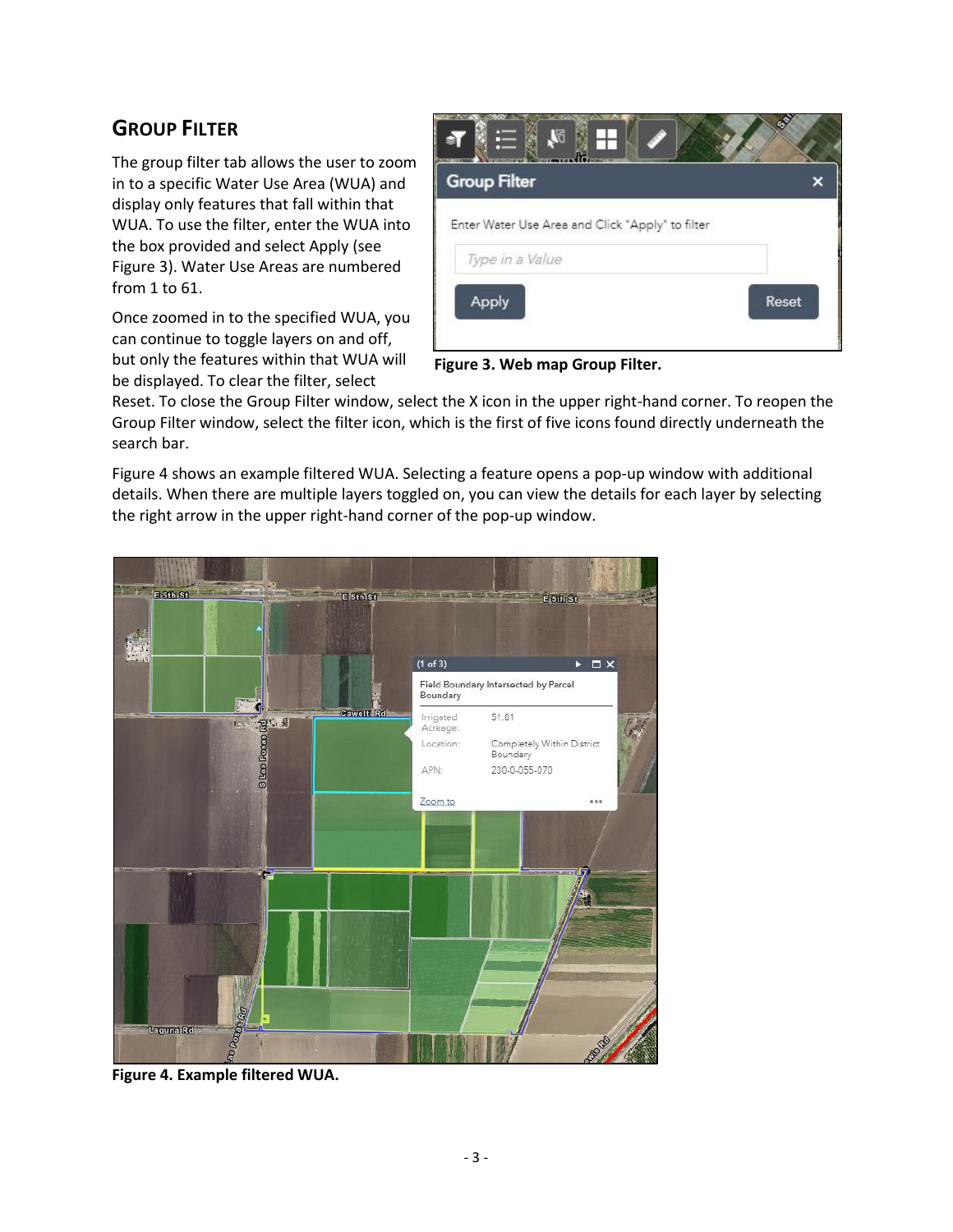### **GROUP FILTER**

The group filter tab allows the user to zoom in to a specific Water Use Area (WUA) and display only features that fall within that WUA. To use the filter, enter the WUA into the box provided and select Apply (see Figure 3). Water Use Areas are numbered from 1 to 61.

Once zoomed in to the specified WUA, you can continue to toggle layers on and off, but only the features within that WUA will be displayed. To clear the filter, select



**Figure 3. Web map Group Filter.**

Reset. To close the Group Filter window, select the X icon in the upper right-hand corner. To reopen the Group Filter window, select the filter icon, which is the first of five icons found directly underneath the search bar.

Figure 4 shows an example filtered WUA. Selecting a feature opens a pop-up window with additional details. When there are multiple layers toggled on, you can view the details for each layer by selecting the right arrow in the upper right-hand corner of the pop-up window.



**Figure 4. Example filtered WUA.**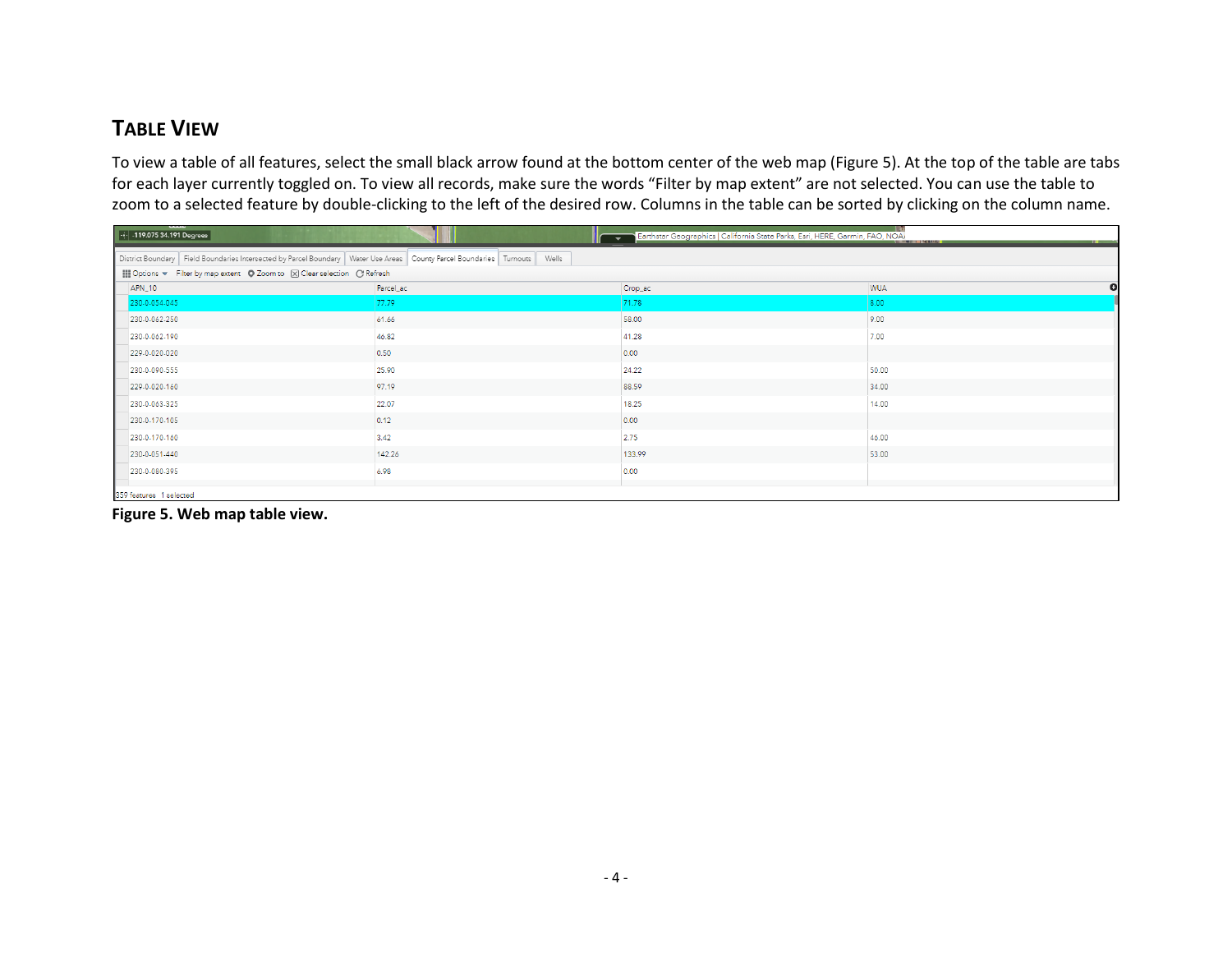#### **TABLE VIEW**

To view a table of all features, select the small black arrow found at the bottom center of the web map (Figure 5). At the top of the table are tabs for each layer currently toggled on. To view all records, make sure the words "Filter by map extent" are not selected. You can use the table to zoom to a selected feature by double-clicking to the left of the desired row. Columns in the table can be sorted by clicking on the column name.

| - 138<br>$\left  \cdot   \cdot   \cdot 119.07534.191 \text{ Degrees} \right $<br>Earthstar Geographics   California State Parks, Esri, HERE, Garmin, FAO, NOA<br>-52<br>$\mathbf{u}$ |           |         |                         |
|--------------------------------------------------------------------------------------------------------------------------------------------------------------------------------------|-----------|---------|-------------------------|
| District Boundary   Field Boundaries Intersected by Parcel Boundary   Water Use Areas   County Parcel Boundaries   Turnouts   Wells                                                  |           |         |                         |
| ■ Options w Filter by map extent © Zoom to ⊠ Clear selection © Refresh                                                                                                               |           |         |                         |
| APN_10                                                                                                                                                                               | Parcel_ac | Crop_ac | $\bullet$<br><b>WUA</b> |
| 230-0-054-045                                                                                                                                                                        | 77.79     | 71.78   | 8.00                    |
| 230-0-062-250                                                                                                                                                                        | 61.66     | 58.00   | 9.00                    |
| 230-0-062-190                                                                                                                                                                        | 46.82     | 41.28   | 7.00                    |
| 229-0-020-020                                                                                                                                                                        | 0.50      | 0.00    |                         |
| 230-0-090-555                                                                                                                                                                        | 25.90     | 24.22   | 50.00                   |
| 229-0-020-160                                                                                                                                                                        | 97.19     | 88.59   | 34.00                   |
| 230-0-063-325                                                                                                                                                                        | 22.07     | 18.25   | 14.00                   |
| 230-0-170-105                                                                                                                                                                        | 0.12      | 0.00    |                         |
| 230-0-170-160                                                                                                                                                                        | 3.42      | 2.75    | 46.00                   |
| 230-0-051-440                                                                                                                                                                        | 142.26    | 133.99  | 53.00                   |
| 230-0-080-395                                                                                                                                                                        | 6.98      | 0.00    |                         |
| 359 features 1 selected                                                                                                                                                              |           |         |                         |

**Figure 5. Web map table view.**